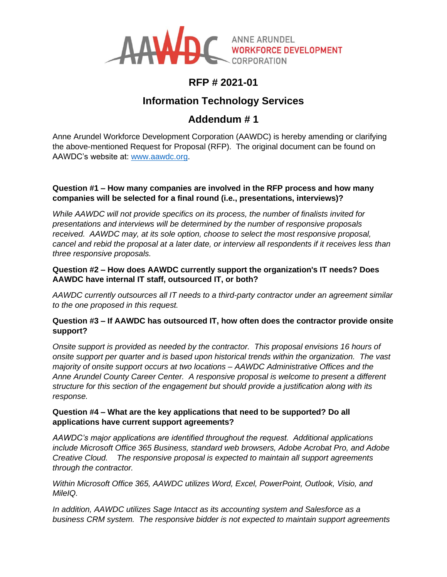

## **RFP # 2021-01**

## **Information Technology Services**

# **Addendum # 1**

Anne Arundel Workforce Development Corporation (AAWDC) is hereby amending or clarifying the above-mentioned Request for Proposal (RFP). The original document can be found on AAWDC's website at: [www.aawdc.org.](http://www.aawdc.org/)

## **Question #1 – How many companies are involved in the RFP process and how many companies will be selected for a final round (i.e., presentations, interviews)?**

*While AAWDC will not provide specifics on its process, the number of finalists invited for presentations and interviews will be determined by the number of responsive proposals received. AAWDC may, at its sole option, choose to select the most responsive proposal, cancel and rebid the proposal at a later date, or interview all respondents if it receives less than three responsive proposals.*

## **Question #2 – How does AAWDC currently support the organization's IT needs? Does AAWDC have internal IT staff, outsourced IT, or both?**

*AAWDC currently outsources all IT needs to a third-party contractor under an agreement similar to the one proposed in this request.*

## **Question #3 – If AAWDC has outsourced IT, how often does the contractor provide onsite support?**

*Onsite support is provided as needed by the contractor. This proposal envisions 16 hours of onsite support per quarter and is based upon historical trends within the organization. The vast majority of onsite support occurs at two locations – AAWDC Administrative Offices and the Anne Arundel County Career Center. A responsive proposal is welcome to present a different structure for this section of the engagement but should provide a justification along with its response.*

## **Question #4 – What are the key applications that need to be supported? Do all applications have current support agreements?**

*AAWDC's major applications are identified throughout the request. Additional applications include Microsoft Office 365 Business, standard web browsers, Adobe Acrobat Pro, and Adobe Creative Cloud. The responsive proposal is expected to maintain all support agreements through the contractor.*

*Within Microsoft Office 365, AAWDC utilizes Word, Excel, PowerPoint, Outlook, Visio, and MileIQ.*

*In addition, AAWDC utilizes Sage Intacct as its accounting system and Salesforce as a business CRM system. The responsive bidder is not expected to maintain support agreements*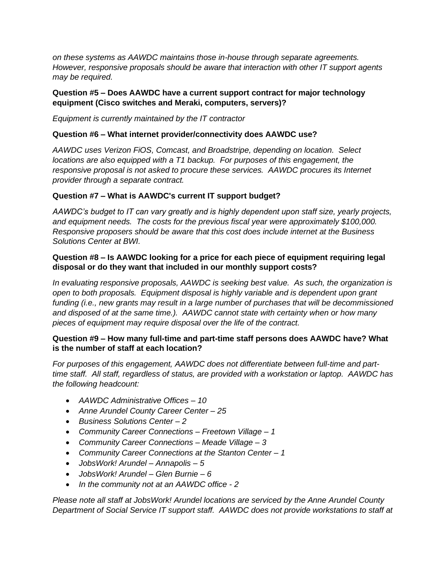*on these systems as AAWDC maintains those in-house through separate agreements. However, responsive proposals should be aware that interaction with other IT support agents may be required.*

#### **Question #5 – Does AAWDC have a current support contract for major technology equipment (Cisco switches and Meraki, computers, servers)?**

*Equipment is currently maintained by the IT contractor*

#### **Question #6 – What internet provider/connectivity does AAWDC use?**

*AAWDC uses Verizon FiOS, Comcast, and Broadstripe, depending on location. Select locations are also equipped with a T1 backup. For purposes of this engagement, the responsive proposal is not asked to procure these services. AAWDC procures its Internet provider through a separate contract.*

#### **Question #7 – What is AAWDC's current IT support budget?**

*AAWDC's budget to IT can vary greatly and is highly dependent upon staff size, yearly projects, and equipment needs. The costs for the previous fiscal year were approximately \$100,000. Responsive proposers should be aware that this cost does include internet at the Business Solutions Center at BWI.*

#### **Question #8 – Is AAWDC looking for a price for each piece of equipment requiring legal disposal or do they want that included in our monthly support costs?**

*In evaluating responsive proposals, AAWDC is seeking best value. As such, the organization is open to both proposals. Equipment disposal is highly variable and is dependent upon grant funding (i.e., new grants may result in a large number of purchases that will be decommissioned and disposed of at the same time.). AAWDC cannot state with certainty when or how many pieces of equipment may require disposal over the life of the contract.*

#### **Question #9 – How many full-time and part-time staff persons does AAWDC have? What is the number of staff at each location?**

*For purposes of this engagement, AAWDC does not differentiate between full-time and parttime staff. All staff, regardless of status, are provided with a workstation or laptop. AAWDC has the following headcount:*

- *AAWDC Administrative Offices – 10*
- *Anne Arundel County Career Center – 25*
- *Business Solutions Center – 2*
- *Community Career Connections – Freetown Village – 1*
- *Community Career Connections – Meade Village – 3*
- *Community Career Connections at the Stanton Center – 1*
- *JobsWork! Arundel – Annapolis – 5*
- *JobsWork! Arundel – Glen Burnie – 6*
- *In the community not at an AAWDC office - 2*

*Please note all staff at JobsWork! Arundel locations are serviced by the Anne Arundel County Department of Social Service IT support staff. AAWDC does not provide workstations to staff at*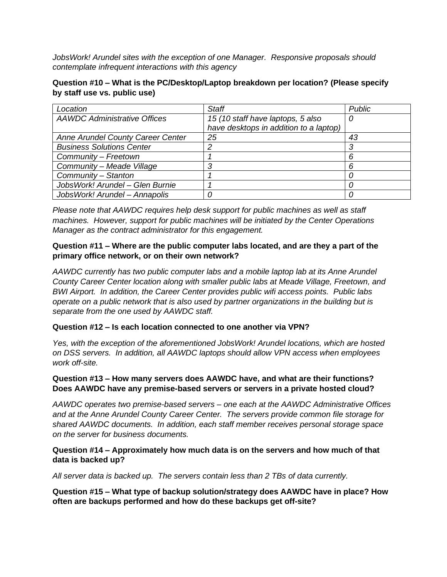*JobsWork! Arundel sites with the exception of one Manager. Responsive proposals should contemplate infrequent interactions with this agency*

### **Question #10 – What is the PC/Desktop/Laptop breakdown per location? (Please specify by staff use vs. public use)**

| Location                            | Staff                                  | <b>Public</b> |
|-------------------------------------|----------------------------------------|---------------|
| <b>AAWDC Administrative Offices</b> | 15 (10 staff have laptops, 5 also      | U             |
|                                     | have desktops in addition to a laptop) |               |
| Anne Arundel County Career Center   | 25                                     | 43            |
| <b>Business Solutions Center</b>    |                                        |               |
| Community - Freetown                |                                        | 6             |
| Community - Meade Village           | ◠                                      | 6             |
| Community - Stanton                 |                                        |               |
| JobsWork! Arundel - Glen Burnie     |                                        |               |
| JobsWork! Arundel - Annapolis       |                                        |               |

*Please note that AAWDC requires help desk support for public machines as well as staff machines. However, support for public machines will be initiated by the Center Operations Manager as the contract administrator for this engagement.*

### **Question #11 – Where are the public computer labs located, and are they a part of the primary office network, or on their own network?**

*AAWDC currently has two public computer labs and a mobile laptop lab at its Anne Arundel County Career Center location along with smaller public labs at Meade Village, Freetown, and BWI Airport. In addition, the Career Center provides public wifi access points. Public labs operate on a public network that is also used by partner organizations in the building but is separate from the one used by AAWDC staff.*

#### **Question #12 – Is each location connected to one another via VPN?**

*Yes, with the exception of the aforementioned JobsWork! Arundel locations, which are hosted on DSS servers. In addition, all AAWDC laptops should allow VPN access when employees work off-site.*

#### **Question #13 – How many servers does AAWDC have, and what are their functions? Does AAWDC have any premise-based servers or servers in a private hosted cloud?**

*AAWDC operates two premise-based servers – one each at the AAWDC Administrative Offices and at the Anne Arundel County Career Center. The servers provide common file storage for shared AAWDC documents. In addition, each staff member receives personal storage space on the server for business documents.*

#### **Question #14 – Approximately how much data is on the servers and how much of that data is backed up?**

*All server data is backed up. The servers contain less than 2 TBs of data currently.*

**Question #15 – What type of backup solution/strategy does AAWDC have in place? How often are backups performed and how do these backups get off-site?**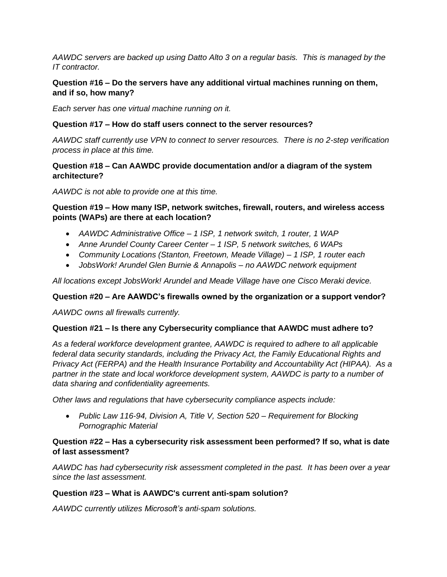*AAWDC servers are backed up using Datto Alto 3 on a regular basis. This is managed by the IT contractor.*

## **Question #16 – Do the servers have any additional virtual machines running on them, and if so, how many?**

*Each server has one virtual machine running on it.*

### **Question #17 – How do staff users connect to the server resources?**

*AAWDC staff currently use VPN to connect to server resources. There is no 2-step verification process in place at this time.*

### **Question #18 – Can AAWDC provide documentation and/or a diagram of the system architecture?**

*AAWDC is not able to provide one at this time.*

#### **Question #19 – How many ISP, network switches, firewall, routers, and wireless access points (WAPs) are there at each location?**

- *AAWDC Administrative Office – 1 ISP, 1 network switch, 1 router, 1 WAP*
- *Anne Arundel County Career Center – 1 ISP, 5 network switches, 6 WAPs*
- *Community Locations (Stanton, Freetown, Meade Village) – 1 ISP, 1 router each*
- *JobsWork! Arundel Glen Burnie & Annapolis – no AAWDC network equipment*

*All locations except JobsWork! Arundel and Meade Village have one Cisco Meraki device.*

#### **Question #20 – Are AAWDC's firewalls owned by the organization or a support vendor?**

*AAWDC owns all firewalls currently.*

#### **Question #21 – Is there any Cybersecurity compliance that AAWDC must adhere to?**

*As a federal workforce development grantee, AAWDC is required to adhere to all applicable federal data security standards, including the Privacy Act, the Family Educational Rights and Privacy Act (FERPA) and the Health Insurance Portability and Accountability Act (HIPAA). As a*  partner in the state and local workforce development system, AAWDC is party to a number of *data sharing and confidentiality agreements.*

*Other laws and regulations that have cybersecurity compliance aspects include:*

• *Public Law 116-94, Division A, Title V, Section 520 – Requirement for Blocking Pornographic Material*

#### **Question #22 – Has a cybersecurity risk assessment been performed? If so, what is date of last assessment?**

*AAWDC has had cybersecurity risk assessment completed in the past. It has been over a year since the last assessment.*

#### **Question #23 – What is AAWDC's current anti-spam solution?**

*AAWDC currently utilizes Microsoft's anti-spam solutions.*